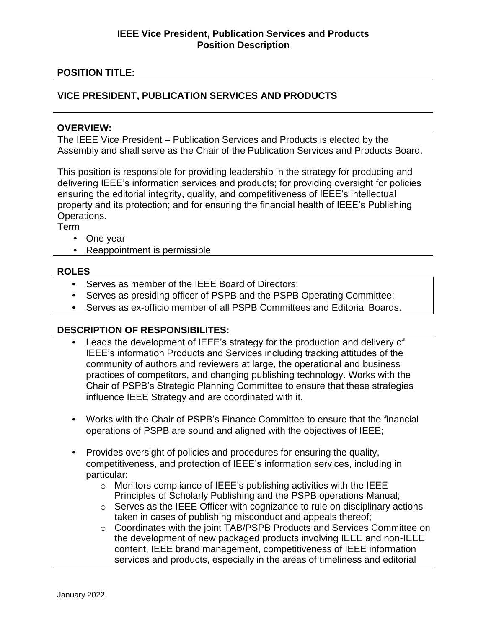# **POSITION TITLE:**

# **VICE PRESIDENT, PUBLICATION SERVICES AND PRODUCTS**

#### **OVERVIEW:**

The IEEE Vice President – Publication Services and Products is elected by the Assembly and shall serve as the Chair of the Publication Services and Products Board.

This position is responsible for providing leadership in the strategy for producing and delivering IEEE's information services and products; for providing oversight for policies ensuring the editorial integrity, quality, and competitiveness of IEEE's intellectual property and its protection; and for ensuring the financial health of IEEE's Publishing Operations.

Term

- One year
- Reappointment is permissible

#### **ROLES**

- Serves as member of the IEEE Board of Directors;
- Serves as presiding officer of PSPB and the PSPB Operating Committee;
- Serves as ex-officio member of all PSPB Committees and Editorial Boards.

## **DESCRIPTION OF RESPONSIBILITES:**

- Leads the development of IEEE's strategy for the production and delivery of IEEE's information Products and Services including tracking attitudes of the community of authors and reviewers at large, the operational and business practices of competitors, and changing publishing technology. Works with the Chair of PSPB's Strategic Planning Committee to ensure that these strategies influence IEEE Strategy and are coordinated with it.
- Works with the Chair of PSPB's Finance Committee to ensure that the financial operations of PSPB are sound and aligned with the objectives of IEEE;
- Provides oversight of policies and procedures for ensuring the quality, competitiveness, and protection of IEEE's information services, including in particular:
	- o Monitors compliance of IEEE's publishing activities with the IEEE Principles of Scholarly Publishing and the PSPB operations Manual;
	- o Serves as the IEEE Officer with cognizance to rule on disciplinary actions taken in cases of publishing misconduct and appeals thereof;
	- o Coordinates with the joint TAB/PSPB Products and Services Committee on the development of new packaged products involving IEEE and non-IEEE content, IEEE brand management, competitiveness of IEEE information services and products, especially in the areas of timeliness and editorial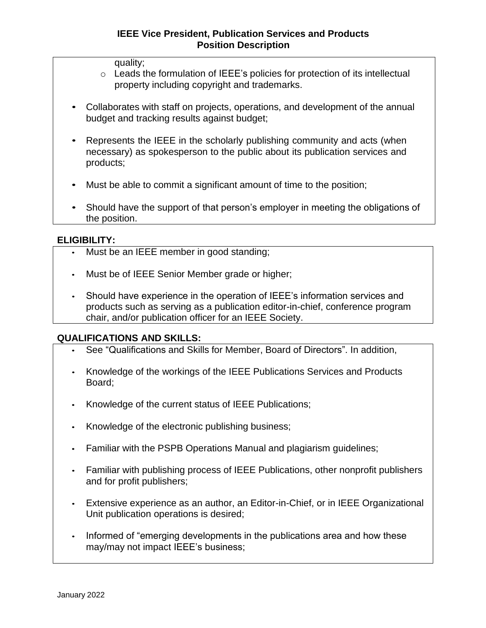quality;

- o Leads the formulation of IEEE's policies for protection of its intellectual property including copyright and trademarks.
- Collaborates with staff on projects, operations, and development of the annual budget and tracking results against budget;
- Represents the IEEE in the scholarly publishing community and acts (when necessary) as spokesperson to the public about its publication services and products;
- Must be able to commit a significant amount of time to the position;
- Should have the support of that person's employer in meeting the obligations of the position.

#### **ELIGIBILITY:**

- Must be an IEEE member in good standing;
- Must be of IEEE Senior Member grade or higher;
- Should have experience in the operation of IEEE's information services and products such as serving as a publication editor-in-chief, conference program chair, and/or publication officer for an IEEE Society.

#### **QUALIFICATIONS AND SKILLS:**

- See "Qualifications and Skills for Member, Board of Directors". In addition,
- Knowledge of the workings of the IEEE Publications Services and Products Board;
- Knowledge of the current status of IEEE Publications;
- Knowledge of the electronic publishing business;
- Familiar with the PSPB Operations Manual and plagiarism guidelines;
- Familiar with publishing process of IEEE Publications, other nonprofit publishers and for profit publishers;
- Extensive experience as an author, an Editor-in-Chief, or in IEEE Organizational Unit publication operations is desired;
- Informed of "emerging developments in the publications area and how these may/may not impact IEEE's business;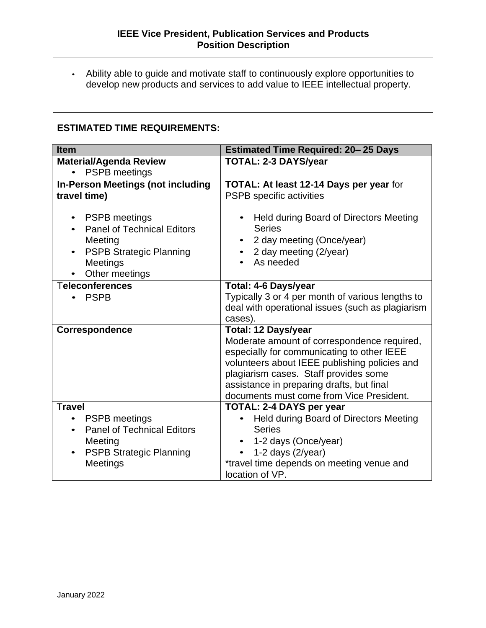• Ability able to guide and motivate staff to continuously explore opportunities to develop new products and services to add value to IEEE intellectual property.

# **ESTIMATED TIME REQUIREMENTS:**

| <b>Item</b>                                                                                                                          | <b>Estimated Time Required: 20-25 Days</b>                                                                                               |
|--------------------------------------------------------------------------------------------------------------------------------------|------------------------------------------------------------------------------------------------------------------------------------------|
| <b>Material/Agenda Review</b>                                                                                                        | <b>TOTAL: 2-3 DAYS/year</b>                                                                                                              |
| <b>PSPB</b> meetings<br>$\bullet$                                                                                                    |                                                                                                                                          |
| <b>In-Person Meetings (not including</b>                                                                                             | TOTAL: At least 12-14 Days per year for                                                                                                  |
| travel time)                                                                                                                         | PSPB specific activities                                                                                                                 |
| <b>PSPB</b> meetings<br><b>Panel of Technical Editors</b><br>Meeting<br><b>PSPB Strategic Planning</b><br>Meetings<br>Other meetings | Held during Board of Directors Meeting<br>$\bullet$<br><b>Series</b><br>2 day meeting (Once/year)<br>2 day meeting (2/year)<br>As needed |
| <b>Teleconferences</b>                                                                                                               | <b>Total: 4-6 Days/year</b>                                                                                                              |
| <b>PSPB</b>                                                                                                                          | Typically 3 or 4 per month of various lengths to<br>deal with operational issues (such as plagiarism                                     |
|                                                                                                                                      | cases).                                                                                                                                  |
| <b>Correspondence</b>                                                                                                                | <b>Total: 12 Days/year</b>                                                                                                               |
|                                                                                                                                      | Moderate amount of correspondence required,                                                                                              |
|                                                                                                                                      | especially for communicating to other IEEE<br>volunteers about IEEE publishing policies and                                              |
|                                                                                                                                      | plagiarism cases. Staff provides some                                                                                                    |
|                                                                                                                                      | assistance in preparing drafts, but final                                                                                                |
|                                                                                                                                      | documents must come from Vice President.                                                                                                 |
| <b>Travel</b>                                                                                                                        | <b>TOTAL: 2-4 DAYS per year</b>                                                                                                          |
| <b>PSPB</b> meetings<br>$\bullet$                                                                                                    | Held during Board of Directors Meeting                                                                                                   |
| <b>Panel of Technical Editors</b><br>$\bullet$                                                                                       | <b>Series</b>                                                                                                                            |
| Meeting                                                                                                                              | 1-2 days (Once/year)                                                                                                                     |
| <b>PSPB Strategic Planning</b><br>$\bullet$                                                                                          | 1-2 days $(2$ /year)<br>$\bullet$                                                                                                        |
| Meetings                                                                                                                             | *travel time depends on meeting venue and                                                                                                |
|                                                                                                                                      | location of VP.                                                                                                                          |